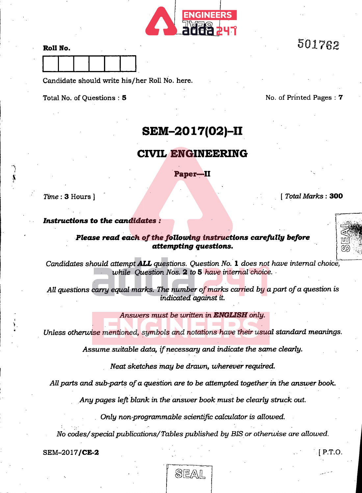

| Roll No. |  |  |  |
|----------|--|--|--|
|          |  |  |  |

Candidate should write his/her Roll No. here.

Total No. of Questions : 5 No. of Printed Pages : 7

501762

# SEM-2017(02)-II

## CIVIL ENGINEERING

Paper-II

Time : 3 Hours ]

[ Total Marks : 300

r

الأ $\mathbb{H}$ 

### Instructions to the candidates :

### Please read each of the following instructions carefully before attempting questions.

Candidates should attempt **ALL** questions. Question No. 1 does not have internal choice, while Ouestion Nos.  $2$  to 5 have internal choice.  $\cdot$ 

All questions carry equal marks. The number of marks carried by a part of a question is indicated against it.

### Answers must be written in ENGLISH only.

Unless otherwise mentioned, symbols and notations have their usual standard meanings.

Assume suitable data, if necessary and indicate the same clearly.

Neat sketches may be drawn, wherever required.

All parts and sub-parts of a question are to be attempted together in the answer book.

Any pages left blank in the answer book must be clearly struck out.

. Only non-programmable scientific calculator is allowed.

No codes/special publications/Tables published by BIS or otherwise are allowed.

 $SEM-2017/CE-2$  [ P.T.O.

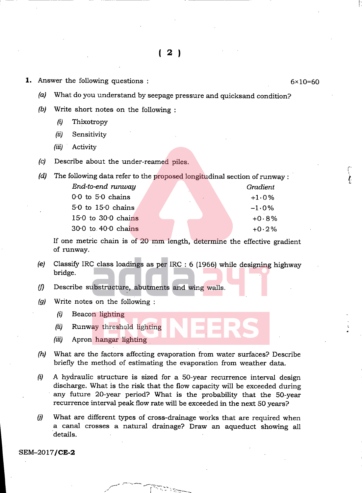- **1.** Answer the following questions :  $6 \times 10 = 60$ 
	- (a) What do you understand by seepage pressure and quicksand condition?
	- (b) Write short notes on the following :
		- (i) Thixotropy
		- (ii) Sensitivity
		- (iii) Activity
	- (c) Describe about the under-reamed piles.

| (d) | The following data refer to the proposed longitudinal section of runway: |  |  |          |
|-----|--------------------------------------------------------------------------|--|--|----------|
|     | End-to-end runway                                                        |  |  | Gradient |
|     | $0.0$ to $5.0$ chains                                                    |  |  | $+1.0%$  |
|     | 5.0 to 15.0 chains                                                       |  |  | $-1.0\%$ |
|     | $15.0$ to $30.0$ chains                                                  |  |  | $+0.8%$  |
|     | $30.0$ to $40.0$ chains                                                  |  |  | $+0.2\%$ |

If one metric chain is of 20 mm length, determine the effective gradient of runway.

- (e) Classify IRC class loadings as per IRC : 6 (1966) while designing highway bridge.
- (f) Describe substructure, abutments and wing walls.
- (g) Write notes on the following :
	- (i) Beacon lighting
	- (ii) Runway threshold lighting
	- (iii) Apron hangar lighting
- (h) What are the factors affecting evaporation from water surfaces? Describe briefly the method of estimating the evaporation from weather data.
- $(i)$  A hydraulic structure is sized for a 50-year recurrence interval design discharge. What is the risk that the flow capacity will be exceeded during any future 20-year period? What is the probability that the 50-year recurrence interval peak flow rate will be exceeded in the next 50 years?
- (j) What are different types of cross-drainage works that are required when a canal crosses a natural drainage? Draw an aqueduct showing all details.

SEM-2017/CE-2

1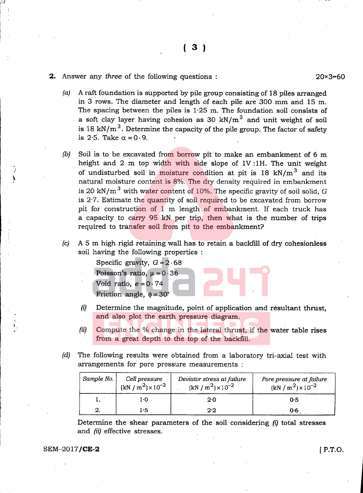#### **2.** Answer any *three* of the following questions :

20x3=60

- (a) A raft foundation is supported by pile group consisting of 18 piles arranged in 3 rows. The diameter and length of each pile are  $300$  mm and  $15$  m. The spacing between the piles is  $1.25$  m. The foundation soil consists of a soft clay layer having cohesion as 30 kN/ $m<sup>3</sup>$  and unit weight of soil is 18 kN/m<sup>3</sup>. Determine the capacity of the pile group. The factor of safety is 2.5. Take  $\alpha = 0.9$ .
- (b) Soil is to be excavated from borrow pit to make an embankment of 6 m height and 2 m top width with side slope of IV :1H. The unit weight of undisturbed soil in moisture condition at pit is 18 kN/m<sup>3</sup> and its natural moisture content is 8%. The dry density required in embankment is 20 kN/m<sup>3</sup> with water content of 10%. The specific gravity of soil solid, G is 2-7. Estimate the quantity of soil required to be excavated from borrow pit for construction of 1 m length of embankment. If each truck has a capacity to carry 95 kN per trip, then what is the number of trips required to transfer soil from pit to the embankment?
- (c) A 5 m high rigid retaining wall has to retain a backfill of dry cohesionless soil having the following properties ;

Specific gravity,  $G = 2.68$ 

- Poisson's ratio,  $\mu = 0.36$ Void ratio,  $e = 0.74$ 
	- Friction angle,  $\phi = 30^\circ$
- $(i)$  Determine the magnitude, point of application and resultant thrust, and also plot the earth pressure diagram.
- (ii) Compute the % change in the lateral thrust, if the water table rises from a great depth to the top of the backfill.
- (d) The following results were obtained from a laboratory tri-axial test with arrangements for pore pressure measurements :

| Sample No. | Cell pressure<br>$(kN/m^2) \times 10^{-2}$ | Deviator stress at failure<br>$(kN/m^2) \times 10^{-2}$ | Pore pressure at failure<br>$(kN/m^2) \times 10^{-2}$ |
|------------|--------------------------------------------|---------------------------------------------------------|-------------------------------------------------------|
|            | 1.0                                        | 2.0                                                     | 0.5                                                   |
|            | $1\cdot 5$                                 | 2.2                                                     | 0.6                                                   |

Determine the shear parameters of the soil considering  $(i)$  total stresses and (ii) effective stresses.

#### $SEM-2017/CE-2$  [ P.T.O.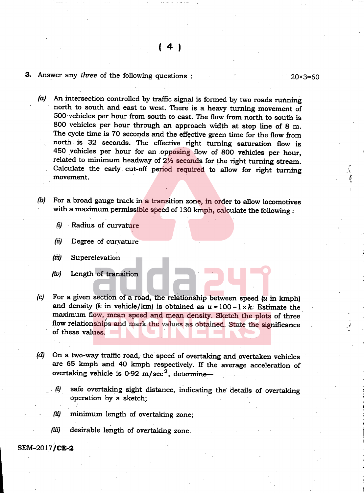### 3. Answer any three of the following questions :  $20 \times 3 = 60$

(a) An intersection controlled by traffic signal is formed by two roads running north to south and east to west. There is a heavy turning movement of 500 vehicles per hour from south to east. The flow from north to south is 800 vehicles per hour through an approach width at stop line of 8 m. The cycle time is 70 seconds and the effective green time for the flow from north is 32 seconds. The effective right turning saturation flow is 450 vehicles per hour for an opposing flow of 800 vehicles per hour, related to minimum headway of  $2\frac{1}{2}$  seconds for the right turning stream. Calculate the early cut-off period required to allow for right turning movement.

- (b) For a broad gauge track in a transition zone, in order to allow locomotives with a maximum permissible speed of 130 kmph, calculate the following :
	- (i) Radius of curvature
	- (ii) Degree of curvature
	- (iii) Superelevation
	- (iv) Length of transition
- (c) For a given section of a road, the relationship between speed  $(u$  in kmph) and density (k in vehicle/km) is obtained as  $u = 100-1 \times k$ . Estimate the maximum flow, mean speed and mean density. Sketch the plots of three flow relationships and mark the values as obtained. State the significance of these values.
- (d) On a two-way traffic road, the speed of overtaking and overtaken vehicles are 65 kmph and 40 kmph respectively. If the average acceleration of overtaking vehicle is  $0.92 \text{ m/sec}^2$ , determine—
	- $(i)$  safe overtaking sight distance, indicating the details of overtaking operation by a sketch;
	- (ii) minimum length of overtaking zone;
	- (iii) desirable length of overtaking zone.

### SEM-2017/CE-2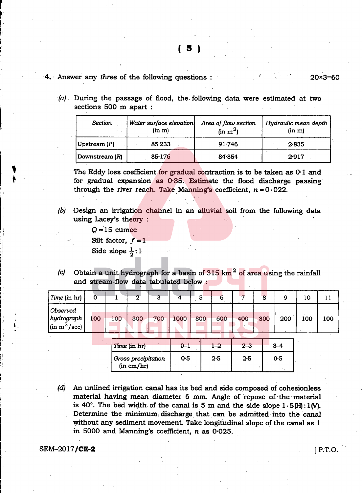( 5 )

### 4. Answer any three of the following questions : 20x3=60

(a) During the passage of flood, the following data were estimated at two sections 500 m apart :

| <b>Section</b>          | Water surface elevation<br>(in m) | Area of flow section<br>(in m <sup>2</sup> ) | Hydraulic mean depth<br>(in m) |
|-------------------------|-----------------------------------|----------------------------------------------|--------------------------------|
| $ $ Upstream $(P)$      | 85.233                            | 91.746                                       | 2.835                          |
| Downstream ( <i>R</i> ) | 85.176                            | 84.354                                       | 2.917                          |

The Eddy loss coefficient for gradual contraction is to be taken as  $0.1$  and for gradual expansion as 0-35. Estimate the flood discharge passing through the river reach. Take Manning's coefficient,  $n = 0.022$ .

- (b) Design an irrigation channel in an alluvial soil from the following data using Lacey's theory :
	- $Q = 15$  cumec
	- Silt factor,  $f = 1$

Side slope  $\frac{1}{2}$ : 1

(c) Obtain a unit hydrograph for a basin of  $315 \text{ km}^2$  of area using the rainfall and stream-flow data tabulated below :

| $\vert$ <i>Time</i> (in hr)                                            | 0   |     | n               | 3   | 4        |     | O      |               |     |              | 10  |     |
|------------------------------------------------------------------------|-----|-----|-----------------|-----|----------|-----|--------|---------------|-----|--------------|-----|-----|
| Observed<br>$ $ hydrograph $ $<br>$\left  \sin m^3/\text{sec} \right $ | 100 | 100 | 300             | 700 | 1000     | 800 | 600    | 400           | 300 | $200^\circ$  | 100 | 100 |
|                                                                        |     |     | $100 - 11 - 11$ |     | $\sim$ 1 |     | $\sim$ | $\sim$ $\sim$ |     | $\mathbf{a}$ |     |     |

| <i>Time</i> (in hr)               | $0 - 1$ | $1 - 2$ | $2 - 3$ |     |  |
|-----------------------------------|---------|---------|---------|-----|--|
| Gross precipitation<br>(in cm/hr) | 0.5     | 2·5     | 2.5     | 0.5 |  |

(d) An unlined irrigation canal has its bed and side composed of cohesionless material having mean diameter 6 mm. Angle of repose of the material is 40°. The bed width of the canal is 5 m and the side slope  $1.5(H)$ :1(V). Determine the minimum discharge that can be admitted into the canal without any sediment movement. Take longitudinal slope of the canal as 1 in 5000 and Manning's coefficient, n as 0-025.

#### $SEM-2017/CE-2$  [ P.T.O.

f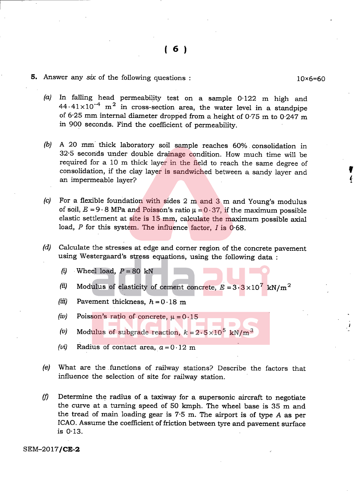### 5. Answer any six of the following questions :  $10 \times 6 = 60$

I

- (a) In falling head permeability test on a sample 0-122 m high and  $44.41 \times 10^{-4}$  m<sup>2</sup> in cross-section area, the water level in a standpipe of 6.25 mm internal diameter dropped from a height of 0.75 m to 0.247 m in 900 seconds. Find the coefficient of permeability.
- (b) A 20 mm thick laboratory soil sample reaches 60% consolidation in 32-5 seconds under double drainage condition. How much time will be required for a 10 m thick layer in the field to reach the same degree of consolidation, if the clay layer is sandwiched between a sandy layer and  $\bullet$
- (c) For a flexible foundation with sides  $2 \text{ m}$  and  $3 \text{ m}$  and Young's modulus of soil,  $E = 9.8$  MPa and Poisson's ratio  $\mu = 0.37$ , if the maximum possible elastic settlement at site is 15 mm, calculate the maximum possible axial load, P for this system. The influence factor, I is 0.68.
- (d) Calculate the stresses at edge and corner region of the concrete pavement using Westergaard's stress equations, using the following data :
	- (i) Wheel load,  $P = 80$  kN
	- (ii) Modulus of elasticity of cement concrete,  $E = 3.3 \times 10^7$  kN/m<sup>2</sup>
	- (iii) Pavement thickness,  $h = 0.18$  m
	- (iv) Poisson's ratio of concrete,  $\mu=0.15$
	- (v) Modulus of subgrade reaction,  $k = 2.5 \times 10^5$  kN/m<sup>3</sup>
	- (*vi*) Radius of contact area,  $a = 0.12$  m
- (e) What are the functions of railway stations? Describe the factors that influence the selection of site for railway station.
- (f) Determine the radius of a taxiway for a supersonic aircraft to negotiate the curve at a tuming speed of 50 kmph. The wheel base is 35 m and the tread of main loading gear is 7-5 m. The airport is of type A as per ICAO. Assume the coefficient of friction between tyre and pavement surface is 0-13.

SEM-2017/CE-2